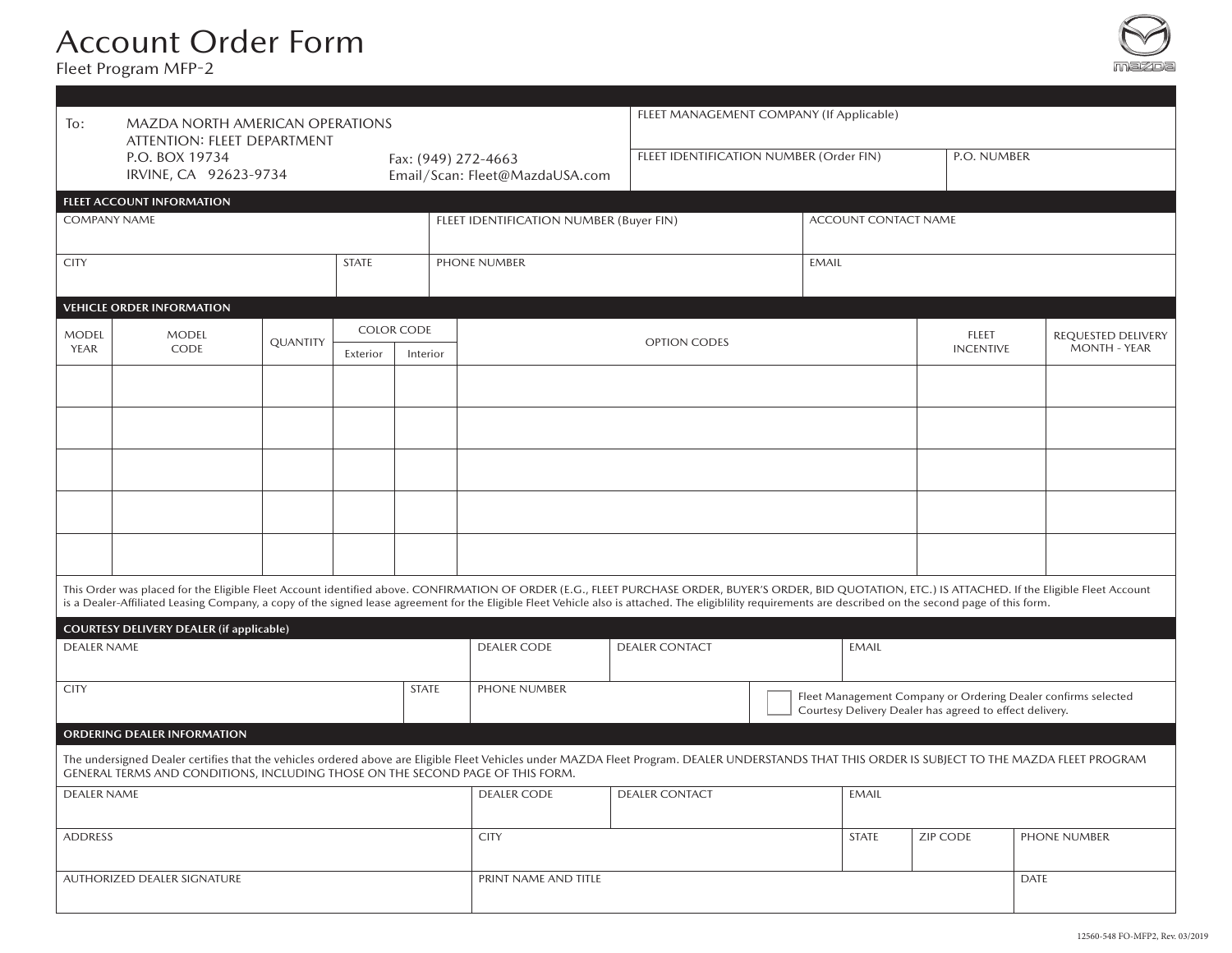# Account Order Form

Fleet Program MFP-2



| To:                         | <b>MAZDA NORTH AMERICAN OPERATIONS</b><br>ATTENTION: FLEET DEPARTMENT          |          |                                         |          |              |                                                                                                                                                                                                                                                                                                                                                                                                                        | FLEET MANAGEMENT COMPANY (If Applicable) |              |                                                                                                                          |                  |             |                    |  |
|-----------------------------|--------------------------------------------------------------------------------|----------|-----------------------------------------|----------|--------------|------------------------------------------------------------------------------------------------------------------------------------------------------------------------------------------------------------------------------------------------------------------------------------------------------------------------------------------------------------------------------------------------------------------------|------------------------------------------|--------------|--------------------------------------------------------------------------------------------------------------------------|------------------|-------------|--------------------|--|
|                             | P.O. BOX 19734<br>IRVINE, CA 92623-9734                                        |          |                                         |          |              | Fax: (949) 272-4663<br>Email/Scan: Fleet@MazdaUSA.com                                                                                                                                                                                                                                                                                                                                                                  | FLEET IDENTIFICATION NUMBER (Order FIN)  |              |                                                                                                                          |                  | P.O. NUMBER |                    |  |
|                             | FLEET ACCOUNT INFORMATION                                                      |          |                                         |          |              |                                                                                                                                                                                                                                                                                                                                                                                                                        |                                          |              |                                                                                                                          |                  |             |                    |  |
| <b>COMPANY NAME</b>         |                                                                                |          | FLEET IDENTIFICATION NUMBER (Buyer FIN) |          |              |                                                                                                                                                                                                                                                                                                                                                                                                                        | ACCOUNT CONTACT NAME                     |              |                                                                                                                          |                  |             |                    |  |
| <b>CITY</b>                 |                                                                                |          | <b>STATE</b>                            |          | PHONE NUMBER |                                                                                                                                                                                                                                                                                                                                                                                                                        |                                          | <b>EMAIL</b> |                                                                                                                          |                  |             |                    |  |
|                             | <b>VEHICLE ORDER INFORMATION</b>                                               |          |                                         |          |              |                                                                                                                                                                                                                                                                                                                                                                                                                        |                                          |              |                                                                                                                          |                  |             |                    |  |
| <b>MODEL</b><br>YEAR        | <b>MODEL</b>                                                                   | QUANTITY | <b>COLOR CODE</b>                       |          |              |                                                                                                                                                                                                                                                                                                                                                                                                                        | OPTION CODES                             |              |                                                                                                                          | FLEET            |             | REQUESTED DELIVERY |  |
|                             | CODE                                                                           |          | Exterior                                | Interior |              |                                                                                                                                                                                                                                                                                                                                                                                                                        |                                          |              |                                                                                                                          | <b>INCENTIVE</b> |             | MONTH - YEAR       |  |
|                             |                                                                                |          |                                         |          |              |                                                                                                                                                                                                                                                                                                                                                                                                                        |                                          |              |                                                                                                                          |                  |             |                    |  |
|                             |                                                                                |          |                                         |          |              |                                                                                                                                                                                                                                                                                                                                                                                                                        |                                          |              |                                                                                                                          |                  |             |                    |  |
|                             |                                                                                |          |                                         |          |              |                                                                                                                                                                                                                                                                                                                                                                                                                        |                                          |              |                                                                                                                          |                  |             |                    |  |
|                             |                                                                                |          |                                         |          |              |                                                                                                                                                                                                                                                                                                                                                                                                                        |                                          |              |                                                                                                                          |                  |             |                    |  |
|                             |                                                                                |          |                                         |          |              |                                                                                                                                                                                                                                                                                                                                                                                                                        |                                          |              |                                                                                                                          |                  |             |                    |  |
|                             |                                                                                |          |                                         |          |              | This Order was placed for the Eligible Fleet Account identified above. CONFIRMATION OF ORDER (E.G., FLEET PURCHASE ORDER, BUYER'S ORDER, BID QUOTATION, ETC.) IS ATTACHED. If the Eligible Fleet Account<br>is a Dealer-Affiliated Leasing Company, a copy of the signed lease agreement for the Eligible Fleet Vehicle also is attached. The eligiblility requirements are described on the second page of this form. |                                          |              |                                                                                                                          |                  |             |                    |  |
|                             | <b>COURTESY DELIVERY DEALER (if applicable)</b>                                |          |                                         |          |              |                                                                                                                                                                                                                                                                                                                                                                                                                        |                                          |              |                                                                                                                          |                  |             |                    |  |
| <b>DEALER NAME</b>          |                                                                                |          |                                         |          |              | <b>DEALER CODE</b>                                                                                                                                                                                                                                                                                                                                                                                                     | <b>DEALER CONTACT</b>                    |              | <b>EMAIL</b>                                                                                                             |                  |             |                    |  |
| <b>CITY</b><br><b>STATE</b> |                                                                                |          |                                         |          | PHONE NUMBER |                                                                                                                                                                                                                                                                                                                                                                                                                        |                                          |              | Fleet Management Company or Ordering Dealer confirms selected<br>Courtesy Delivery Dealer has agreed to effect delivery. |                  |             |                    |  |
|                             | <b>ORDERING DEALER INFORMATION</b>                                             |          |                                         |          |              |                                                                                                                                                                                                                                                                                                                                                                                                                        |                                          |              |                                                                                                                          |                  |             |                    |  |
|                             | GENERAL TERMS AND CONDITIONS, INCLUDING THOSE ON THE SECOND PAGE OF THIS FORM. |          |                                         |          |              | The undersigned Dealer certifies that the vehicles ordered above are Eligible Fleet Vehicles under MAZDA Fleet Program. DEALER UNDERSTANDS THAT THIS ORDER IS SUBJECT TO THE MAZDA FLEET PROGRAM                                                                                                                                                                                                                       |                                          |              |                                                                                                                          |                  |             |                    |  |
| <b>DEALER NAME</b>          |                                                                                |          |                                         |          |              | <b>DEALER CODE</b>                                                                                                                                                                                                                                                                                                                                                                                                     | <b>DEALER CONTACT</b><br><b>EMAIL</b>    |              |                                                                                                                          |                  |             |                    |  |
| <b>ADDRESS</b>              |                                                                                |          |                                         |          |              | <b>CITY</b>                                                                                                                                                                                                                                                                                                                                                                                                            |                                          |              | <b>STATE</b>                                                                                                             | <b>ZIP CODE</b>  |             | PHONE NUMBER       |  |
| AUTHORIZED DEALER SIGNATURE |                                                                                |          |                                         |          |              | PRINT NAME AND TITLE                                                                                                                                                                                                                                                                                                                                                                                                   |                                          |              |                                                                                                                          |                  | <b>DATE</b> |                    |  |